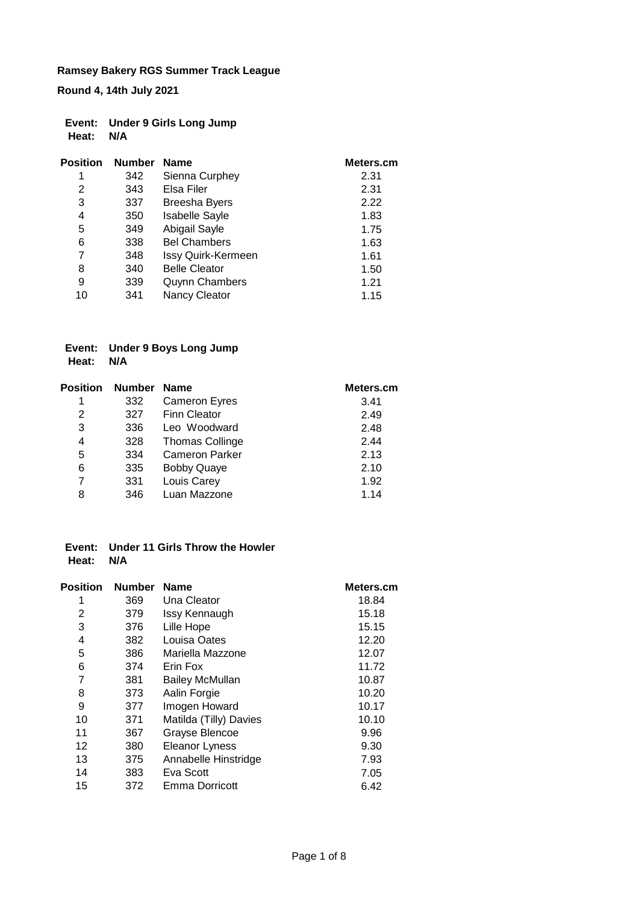**Round 4, 14th July 2021**

|           | Event: Under 9 Girls Long Jump |
|-----------|--------------------------------|
| Heat: N/A |                                |

| <b>Position</b> | <b>Number</b> | <b>Name</b>           | Meters.cm |
|-----------------|---------------|-----------------------|-----------|
| 1               | 342           | Sienna Curphey        | 2.31      |
| 2               | 343           | Elsa Filer            | 2.31      |
| 3               | 337           | <b>Breesha Byers</b>  | 2.22      |
| 4               | 350           | <b>Isabelle Sayle</b> | 1.83      |
| 5               | 349           | Abigail Sayle         | 1.75      |
| 6               | 338           | <b>Bel Chambers</b>   | 1.63      |
| 7               | 348           | Issy Quirk-Kermeen    | 1.61      |
| 8               | 340           | <b>Belle Cleator</b>  | 1.50      |
| 9               | 339           | <b>Quynn Chambers</b> | 1.21      |
| 10              | 341           | Nancy Cleator         | 1.15      |

#### **Event: Under 9 Boys Long Jump Heat: N/A**

| <b>Position</b> | <b>Number</b> | <b>Name</b>            | Meters.cm |
|-----------------|---------------|------------------------|-----------|
| 1               | 332           | <b>Cameron Eyres</b>   | 3.41      |
| 2               | 327           | <b>Finn Cleator</b>    | 2.49      |
| 3               | 336           | Leo Woodward           | 2.48      |
| 4               | 328           | <b>Thomas Collinge</b> | 2.44      |
| 5               | 334           | <b>Cameron Parker</b>  | 2.13      |
| 6               | 335           | <b>Bobby Quaye</b>     | 2.10      |
| 7               | 331           | Louis Carey            | 1.92      |
| 8               | 346           | Luan Mazzone           | 1.14      |

### **Event: Under 11 Girls Throw the Howler Heat: N/A**

| <b>Position</b> | <b>Number</b> | <b>Name</b>            | Meters.cm |
|-----------------|---------------|------------------------|-----------|
| 1               | 369           | Una Cleator            | 18.84     |
| 2               | 379           | Issy Kennaugh          | 15.18     |
| 3               | 376           | Lille Hope             | 15.15     |
| 4               | 382           | Louisa Oates           | 12.20     |
| 5               | 386           | Mariella Mazzone       | 12.07     |
| 6               | 374           | Erin Fox               | 11.72     |
| 7               | 381           | <b>Bailey McMullan</b> | 10.87     |
| 8               | 373           | Aalin Forgie           | 10.20     |
| 9               | 377           | Imogen Howard          | 10.17     |
| 10              | 371           | Matilda (Tilly) Davies | 10.10     |
| 11              | 367           | Grayse Blencoe         | 9.96      |
| 12              | 380           | Eleanor Lyness         | 9.30      |
| 13              | 375           | Annabelle Hinstridge   | 7.93      |
| 14              | 383           | Eva Scott              | 7.05      |
| 15              | 372           | Emma Dorricott         | 6.42      |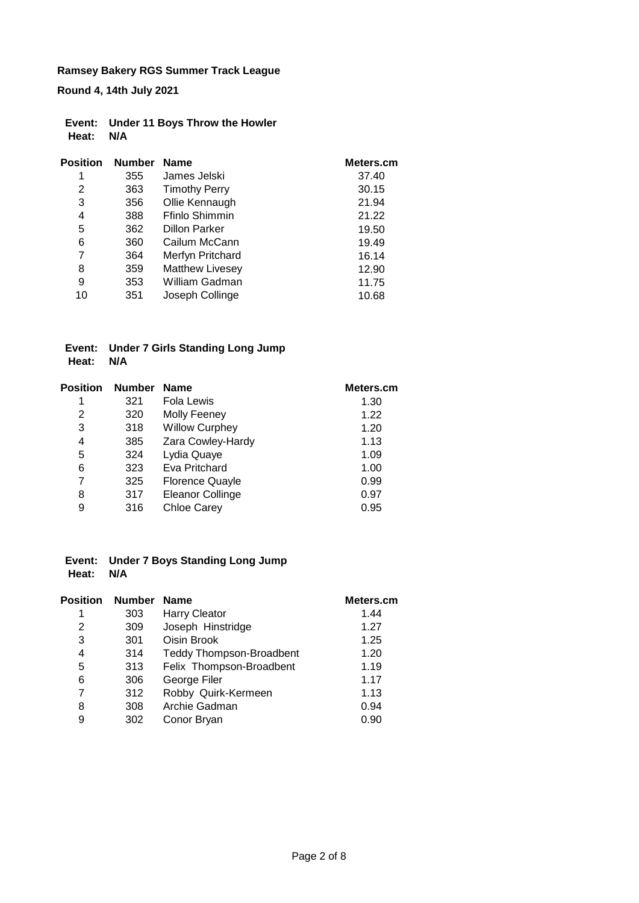**Round 4, 14th July 2021**

|           | Event: Under 11 Boys Throw the Howler |
|-----------|---------------------------------------|
| Heat: N/A |                                       |

| <b>Position</b> | <b>Number</b> | <b>Name</b>            | Meters.cm |
|-----------------|---------------|------------------------|-----------|
| 1               | 355           | James Jelski           | 37.40     |
| 2               | 363           | <b>Timothy Perry</b>   | 30.15     |
| 3               | 356           | Ollie Kennaugh         | 21.94     |
| 4               | 388           | Ffinlo Shimmin         | 21.22     |
| 5               | 362           | <b>Dillon Parker</b>   | 19.50     |
| 6               | 360           | Cailum McCann          | 19.49     |
| 7               | 364           | Merfyn Pritchard       | 16.14     |
| 8               | 359           | <b>Matthew Livesey</b> | 12.90     |
| 9               | 353           | William Gadman         | 11.75     |
| 10              | 351           | Joseph Collinge        | 10.68     |

#### **Event: Under 7 Girls Standing Long Jump Heat: N/A**

| Position | <b>Number</b> | <b>Name</b>             | Meters.cm |
|----------|---------------|-------------------------|-----------|
| 1        | 321           | Fola Lewis              | 1.30      |
| 2        | 320           | <b>Molly Feeney</b>     | 1.22      |
| 3        | 318           | <b>Willow Curphey</b>   | 1.20      |
| 4        | 385           | Zara Cowley-Hardy       | 1.13      |
| 5        | 324           | Lydia Quaye             | 1.09      |
| 6        | 323           | Eva Pritchard           | 1.00      |
| 7        | 325           | <b>Florence Quayle</b>  | 0.99      |
| 8        | 317           | <b>Eleanor Collinge</b> | 0.97      |
| 9        | 316           | <b>Chloe Carey</b>      | 0.95      |
|          |               |                         |           |

### **Event: Under 7 Boys Standing Long Jump Heat: N/A**

| <b>Position</b> | <b>Number</b> | <b>Name</b>                     | Meters.cm |
|-----------------|---------------|---------------------------------|-----------|
| 1               | 303           | <b>Harry Cleator</b>            | 1.44      |
| 2               | 309           | Joseph Hinstridge               | 1.27      |
| 3               | 301           | Oisin Brook                     | 1.25      |
| 4               | 314           | <b>Teddy Thompson-Broadbent</b> | 1.20      |
| 5               | 313           | Felix Thompson-Broadbent        | 1.19      |
| 6               | 306           | George Filer                    | 1.17      |
| 7               | 312           | Robby Quirk-Kermeen             | 1.13      |
| 8               | 308           | Archie Gadman                   | 0.94      |
| 9               | 302           | Conor Bryan                     | 0.90      |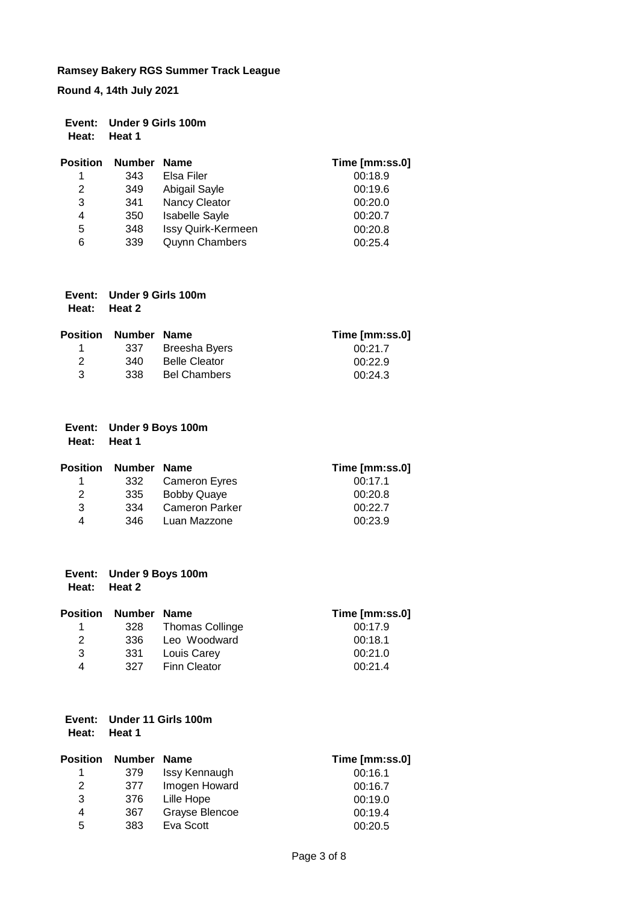**Round 4, 14th July 2021**

|       | Event: Under 9 Girls 100m |
|-------|---------------------------|
| Heat: | Heat 1                    |

| <b>Position</b> | <b>Number</b> | <b>Name</b>               | Time [mm:ss.0] |
|-----------------|---------------|---------------------------|----------------|
| 1               | 343           | Elsa Filer                | 00:18.9        |
| 2               | 349           | Abigail Sayle             | 00:19.6        |
| 3               | 341           | Nancy Cleator             | 00:20.0        |
| 4               | 350           | <b>Isabelle Sayle</b>     | 00:20.7        |
| 5               | 348           | <b>Issy Quirk-Kermeen</b> | 00:20.8        |
| 6               | 339           | <b>Quynn Chambers</b>     | 00:25.4        |

| Event: Under 9 Girls 100m |
|---------------------------|
| Heat: Heat 2              |

|   | <b>Position Number Name</b> |                      | Time [mm:ss.0] |
|---|-----------------------------|----------------------|----------------|
|   | 337                         | Breesha Byers        | 00:21.7        |
| 2 | .340                        | <b>Belle Cleator</b> | 00:22.9        |
| 3 | 338                         | <b>Bel Chambers</b>  | 00:24.3        |

| Event: Under 9 Boys 100m |
|--------------------------|
| Heat: Heat 1             |

|      |                       | Time [mm:ss.0]               |
|------|-----------------------|------------------------------|
| 332  |                       | 00:17.1                      |
| 335  | <b>Bobby Quaye</b>    | 00:20.8                      |
| 334  | <b>Cameron Parker</b> | 00:22.7                      |
| 346. | Luan Mazzone          | 00:23.9                      |
|      |                       | Number Name<br>Cameron Eyres |

| Event: Under 9 Boys 100m |
|--------------------------|
| Heat: Heat 2             |

|   | <b>Position Number Name</b> |                 | Time [mm:ss.0] |
|---|-----------------------------|-----------------|----------------|
|   | 328                         | Thomas Collinge | 00:17.9        |
| 2 | 336                         | Leo Woodward    | 00:18.1        |
| 3 | 331                         | Louis Carey     | 00:21.0        |
| 4 | 327                         | Finn Cleator    | 00:21.4        |
|   |                             |                 |                |

#### **Event: Under 11 Girls 100m Heat: Heat 1**

| <b>Position</b> | <b>Number</b> | <b>Name</b>    | Time [mm:ss.0] |
|-----------------|---------------|----------------|----------------|
| 1               | 379           | Issy Kennaugh  | 00:16.1        |
| 2               | 377           | Imogen Howard  | 00:16.7        |
| 3               | 376           | Lille Hope     | 00:19.0        |
| 4               | 367           | Grayse Blencoe | 00:19.4        |
| 5               | 383           | Eva Scott      | 00:20.5        |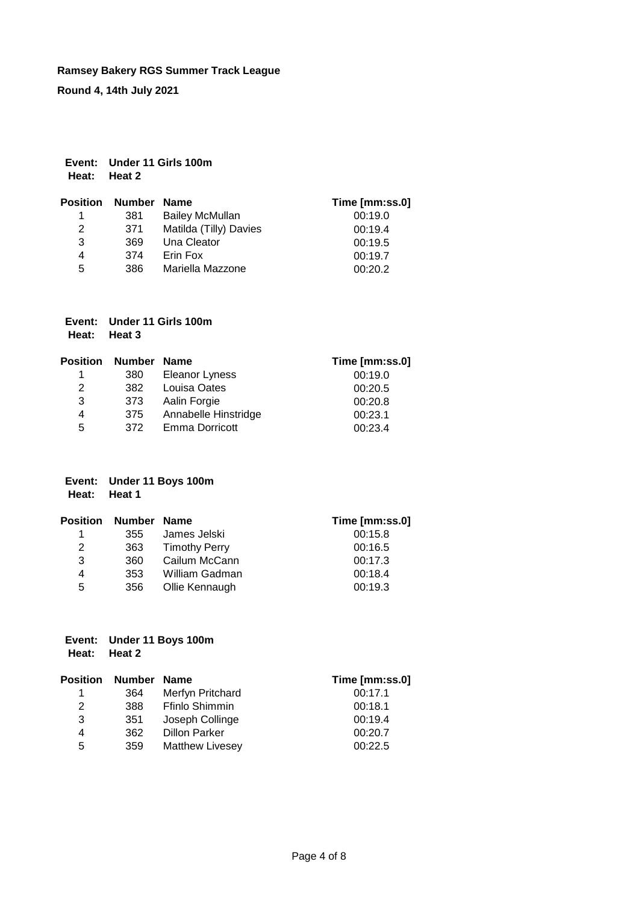**Round 4, 14th July 2021**

| Event: Under 11 Girls 100m |
|----------------------------|
| Heat: Heat 2               |

| <b>Position Number</b> |     | Name                   | Time [mm:ss.0] |
|------------------------|-----|------------------------|----------------|
| 1                      | 381 | <b>Bailey McMullan</b> | 00:19.0        |
| 2                      | 371 | Matilda (Tilly) Davies | 00:19.4        |
| 3                      | 369 | Una Cleator            | 00:19.5        |
| 4                      | 374 | Erin Fox               | 00:19.7        |
| 5                      | 386 | Mariella Mazzone       | 00:20.2        |

|       | Event: Under 11 Girls 100m |
|-------|----------------------------|
| Heat: | Heat 3                     |

| Position | Number Name |                       | Time [mm:ss.0] |
|----------|-------------|-----------------------|----------------|
|          | 380         | Eleanor Lyness        | 00:19.0        |
| 2        | 382         | Louisa Oates          | 00:20.5        |
| 3        | 373         | Aalin Forgie          | 00:20.8        |
| 4        | 375         | Annabelle Hinstridge  | 00:23.1        |
| 5        | 372         | <b>Emma Dorricott</b> | 00:23.4        |

#### **Event: Under 11 Boys 100m Heat: Heat 1**

| <b>Position</b> | Number Name |                      | Time [mm:ss.0] |
|-----------------|-------------|----------------------|----------------|
| 1.              | 355         | James Jelski         | 00:15.8        |
| 2               | 363         | <b>Timothy Perry</b> | 00:16.5        |
| 3               | 360         | Cailum McCann        | 00:17.3        |
| 4               | 353         | William Gadman       | 00:18.4        |
| 5               | 356         | Ollie Kennaugh       | 00:19.3        |

#### **Event: Under 11 Boys 100m Heat: Heat 2**

| Position | <b>Number</b> | <b>Name</b>            | Time [mm:ss.0] |
|----------|---------------|------------------------|----------------|
| 1.       | 364           | Merfyn Pritchard       | 00:17.1        |
| 2        | 388           | <b>Ffinlo Shimmin</b>  | 00:18.1        |
| 3        | 351           | Joseph Collinge        | 00:19.4        |
| 4        | 362           | <b>Dillon Parker</b>   | 00:20.7        |
| 5        | 359           | <b>Matthew Livesey</b> | 00:22.5        |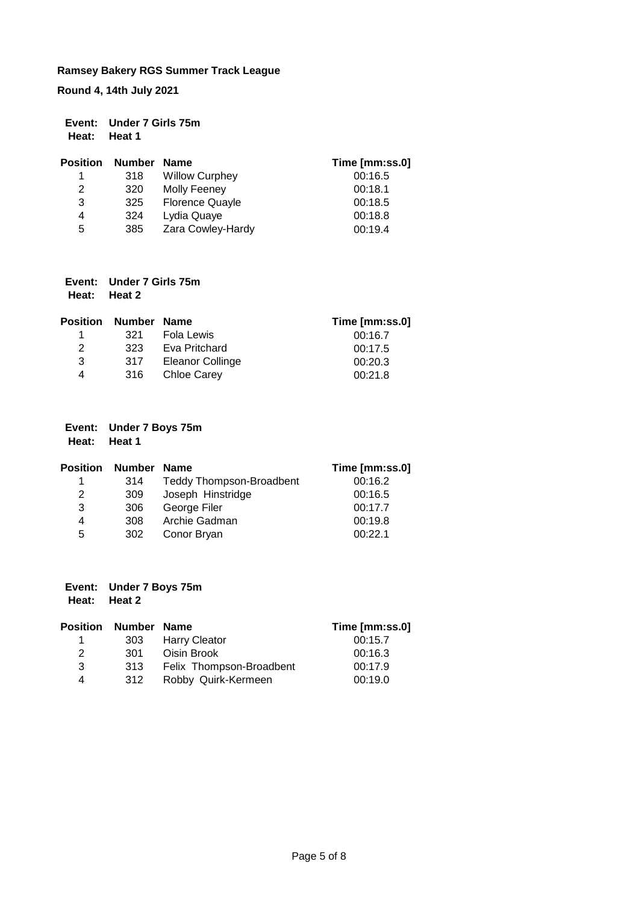**Round 4, 14th July 2021**

|              | Event: Under 7 Girls 75m |
|--------------|--------------------------|
| Heat: Heat 1 |                          |

| <b>Position</b> | <b>Number</b> | Name                   | Time [mm:ss.0] |
|-----------------|---------------|------------------------|----------------|
| 1               | 318           | <b>Willow Curphey</b>  | 00:16.5        |
| 2               | 320           | Molly Feeney           | 00:18.1        |
| 3               | 325           | <b>Florence Quayle</b> | 00:18.5        |
| 4               | 324           | Lydia Quaye            | 00:18.8        |
| 5               | 385           | Zara Cowley-Hardy      | 00:19.4        |

| Event: Under 7 Girls 75m |
|--------------------------|
| Heat: Heat 2             |

| Position | Number Name |                    | Time [mm:ss.0] |
|----------|-------------|--------------------|----------------|
|          | 321         | Fola Lewis         | 00:16.7        |
| 2        | 323         | Eva Pritchard      | 00:17.5        |
| 3        | 317         | Eleanor Collinge   | 00:20.3        |
| 4        | 316         | <b>Chloe Carey</b> | 00:21.8        |

# **Event: Under 7 Boys 75m**

**Heat: Heat 1**

| <b>Position</b> | Number | Name                            | Time [mm:ss.0] |
|-----------------|--------|---------------------------------|----------------|
|                 | 314    | <b>Teddy Thompson-Broadbent</b> | 00:16.2        |
| 2               | 309    | Joseph Hinstridge               | 00:16.5        |
| 3               | 306    | George Filer                    | 00:17.7        |
| 4               | 308    | Archie Gadman                   | 00:19.8        |
| 5               | 302    | Conor Bryan                     | 00:221         |

### **Event: Under 7 Boys 75m Heat: Heat 2**

|   | <b>Position Number Name</b> |                          | Time [mm:ss.0] |
|---|-----------------------------|--------------------------|----------------|
|   | 303                         | <b>Harry Cleator</b>     | 00:15.7        |
| 2 | 301                         | Oisin Brook              | 00:16.3        |
| 3 | 313                         | Felix Thompson-Broadbent | 00:17.9        |
| 4 | 312                         | Robby Quirk-Kermeen      | 00:19.0        |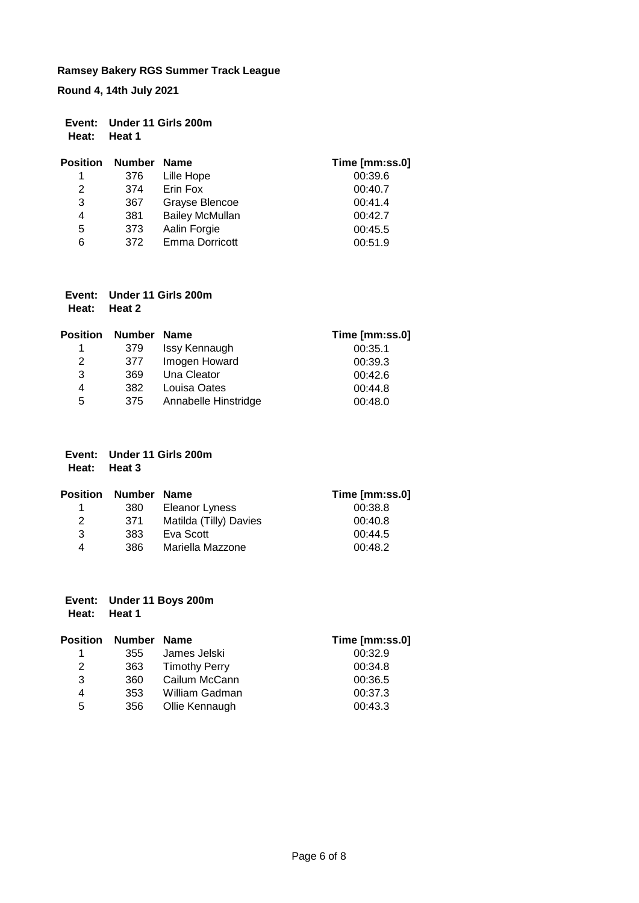**Round 4, 14th July 2021**

| Event: Under 11 Girls 200m |
|----------------------------|
| Heat: Heat 1               |

| <b>Position</b> | Number | <b>Name</b>            | Time [mm:ss.0] |
|-----------------|--------|------------------------|----------------|
| 1               | 376    | Lille Hope             | 00:39.6        |
| 2               | 374    | Erin Fox               | 00:40.7        |
| 3               | 367    | Grayse Blencoe         | 00:41.4        |
| 4               | 381    | <b>Bailey McMullan</b> | 00:42.7        |
| 5               | 373    | Aalin Forgie           | 00:45.5        |
| 6               | 372    | <b>Emma Dorricott</b>  | 00:51.9        |

| Event: Under 11 Girls 200m |  |
|----------------------------|--|
| Heat: Heat 2               |  |

| <b>Position</b> | Number | Name                 | Time [mm:ss.0] |
|-----------------|--------|----------------------|----------------|
|                 | 379    | Issy Kennaugh        | 00:35.1        |
| 2               | 377    | Imogen Howard        | 00:39.3        |
| 3               | 369    | Una Cleator          | 00:42.6        |
| 4               | 382    | Louisa Oates         | 00:44.8        |
| 5               | 375    | Annabelle Hinstridge | 00:48.0        |

| Event: Under 11 Girls 200m |
|----------------------------|
| Heat: Heat 3               |

| <b>Position</b> | Number Name |                        | Time [mm:ss.0] |
|-----------------|-------------|------------------------|----------------|
|                 | 380         | Eleanor Lyness         | 00:38.8        |
| 2               | .371        | Matilda (Tilly) Davies | 00:40.8        |
| 3               | 383         | Eva Scott              | 00:44.5        |
| 4               | 386.        | Mariella Mazzone       | 00:48.2        |

| Event: Under 11 Boys 200m |  |  |  |
|---------------------------|--|--|--|
|                           |  |  |  |

**Heat: Heat 1**

| <b>Position</b> | Number Name |                      | Time [mm:ss.0] |
|-----------------|-------------|----------------------|----------------|
| 1               | 355         | James Jelski         | 00:32.9        |
| 2               | 363         | <b>Timothy Perry</b> | 00:34.8        |
| 3               | 360         | Cailum McCann        | 00:36.5        |
| 4               | 353         | William Gadman       | 00:37.3        |
| 5               | 356         | Ollie Kennaugh       | 00:43.3        |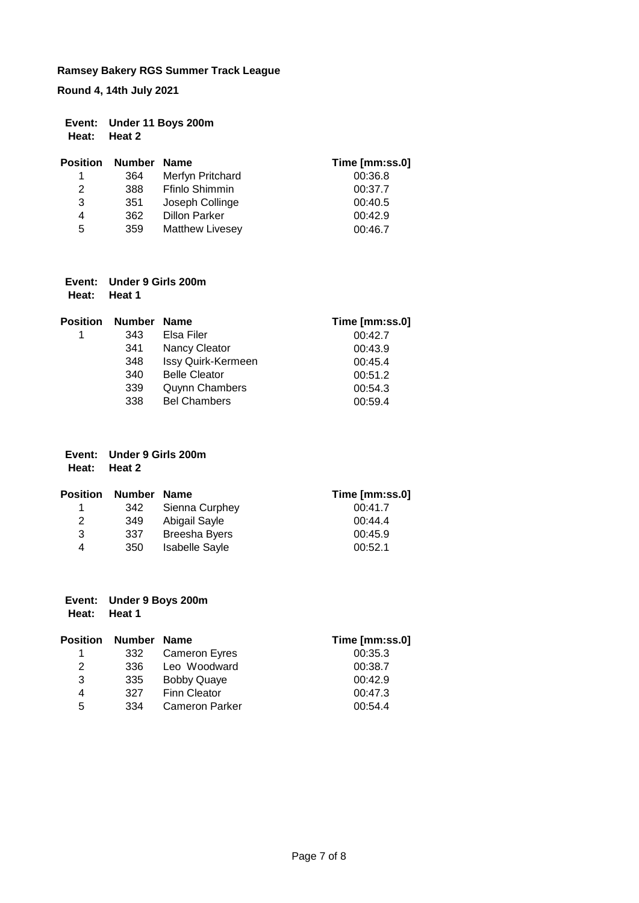**Round 4, 14th July 2021**

| Event: Under 11 Boys 200m |
|---------------------------|
| Heat: Heat 2              |

| <b>Position</b> | <b>Number</b> | Name                   | Time [mm:ss.0] |
|-----------------|---------------|------------------------|----------------|
| 1               | 364           | Merfyn Pritchard       | 00:36.8        |
| 2               | 388           | Ffinlo Shimmin         | 00:37.7        |
| 3               | 351           | Joseph Collinge        | 00:40.5        |
| 4               | 362           | <b>Dillon Parker</b>   | 00:42.9        |
| 5               | 359           | <b>Matthew Livesey</b> | 00:46.7        |

| Event: Under 9 Girls 200m |
|---------------------------|
| Heat: Heat 1              |

| <b>Position</b> | <b>Number</b> | <b>Name</b>           | Time [mm:ss.0] |
|-----------------|---------------|-----------------------|----------------|
| 1               | 343           | Elsa Filer            | 00:42.7        |
|                 | 341           | Nancy Cleator         | 00:43.9        |
|                 | 348           | Issy Quirk-Kermeen    | 00:45.4        |
|                 | 340           | <b>Belle Cleator</b>  | 00:51.2        |
|                 | 339           | <b>Quynn Chambers</b> | 00:54.3        |
|                 | 338           | <b>Bel Chambers</b>   | 00:59.4        |

|              | Event: Under 9 Girls 200m |
|--------------|---------------------------|
| Heat: Heat 2 |                           |

| <b>Position</b> | <b>Number</b> | Name                  | Time [mm:ss.0] |
|-----------------|---------------|-----------------------|----------------|
|                 | 342           | Sienna Curphey        | 00:41.7        |
| 2               | 349           | Abigail Sayle         | 00:44.4        |
| 3               | 337           | Breesha Byers         | 00:45.9        |
| 4               | 350           | <b>Isabelle Sayle</b> | 00:52.1        |

| Event: Under 9 Boys 200m |  |
|--------------------------|--|
|                          |  |

**Heat: Heat 1**

| <b>Position</b> | Number Name |                       | Time [mm:ss.0] |
|-----------------|-------------|-----------------------|----------------|
| 1.              | 332         | <b>Cameron Eyres</b>  | 00:35.3        |
| 2               | 336         | Leo Woodward          | 00:38.7        |
| 3               | 335         | <b>Bobby Quaye</b>    | 00:42.9        |
| 4               | 327         | Finn Cleator          | 00:47.3        |
| 5               | 334         | <b>Cameron Parker</b> | 00:54.4        |